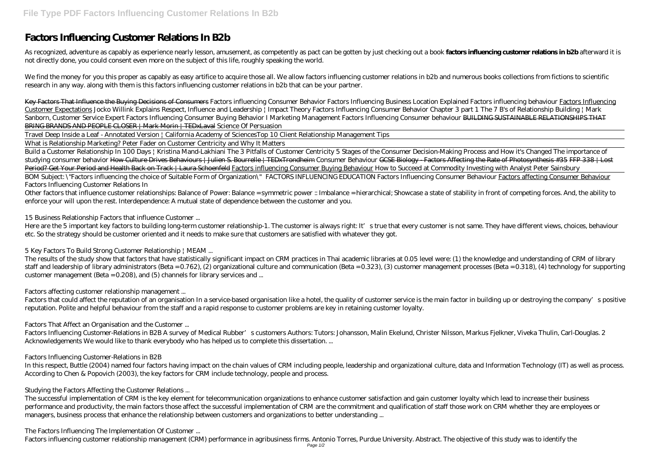# **Factors Influencing Customer Relations In B2b**

As recognized, adventure as capably as experience nearly lesson, amusement, as competently as pact can be gotten by just checking out a book **factors influencing customer relations in b2b** afterward it is not directly done, you could consent even more on the subject of this life, roughly speaking the world.

We find the money for you this proper as capably as easy artifice to acquire those all. We allow factors influencing customer relations in b2b and numerous books collections from fictions to scientific research in any way. along with them is this factors influencing customer relations in b2b that can be your partner.

Key Factors That Influence the Buying Decisions of Consumers *Factors influencing Consumer Behavior* Factors Influencing Business Location Explained *Factors influencing behaviour* Factors Influencing Customer Expectations *Jocko Willink Explains Respect, Influence and Leadership | Impact Theory* Factors Influencing Consumer Behavior Chapter 3 part 1 The 7 B's of Relationship Building | Mark Sanborn, Customer Service Expert Factors Influencing Consumer Buying Behavior I Marketing Management *Factors Influencing Consumer behaviour* BUILDING SUSTAINABLE RELATIONSHIPS THAT BRING BRANDS AND PEOPLE CLOSER | Mark Morin | TEDxLaval *Science Of Persuasion*

Build a Customer Relationship In 100 Days | Kristina Mand-Lakhiani The 3 Pitfalls of Customer Centricity 5 Stages of the Consumer Decision-Making Process and How it's Changed The importance of studying consumer behavior How Culture Drives Behaviours | Julien S. Bourrelle | TEDxTrondheim *Consumer Behaviour* GCSE Biology - Factors Affecting the Rate of Photosynthesis #35 FFP 338 | Lost Period? Get Your Period and Health Back on Track | Laura Schoenfeld Factors influencing Consumer Buying Behaviour How to Succeed at Commodity Investing with Analyst Peter Sainsbury BOM Subject: \"Factors influencing the choice of Suitable Form of Organization\" FACTORS INFLUENCING EDUCATION Factors Influencing Consumer Behaviour Factors affecting Consumer Behaviour *Factors Influencing Customer Relations In*

Travel Deep Inside a Leaf - Annotated Version | California Academy of Sciences*Top 10 Client Relationship Management Tips*

What is Relationship Marketing? Peter Fader on Customer Centricity and Why It Matters

Here are the 5 important key factors to building long-term customer relationship-1. The customer is always right: It's true that every customer is not same. They have different views, choices, behaviour etc. So the strategy should be customer oriented and it needs to make sure that customers are satisfied with whatever they got.

Factors that could affect the reputation of an organisation In a service-based organisation like a hotel, the quality of customer service is the main factor in building up or destroying the company's positive reputation. Polite and helpful behaviour from the staff and a rapid response to customer problems are key in retaining customer loyalty.

Other factors that influence customer relationships: Balance of Power: Balance = symmetric power :: Imbalance = hierarchical; Showcase a state of stability in front of competing forces. And, the ability to enforce your will upon the rest. Interdependence: A mutual state of dependence between the customer and you.

# *15 Business Relationship Factors that influence Customer ...*

# *5 Key Factors To Build Strong Customer Relationship | MEAM ...*

The results of the study show that factors that have statistically significant impact on CRM practices in Thai academic libraries at 0.05 level were: (1) the knowledge and understanding of CRM of library staff and leadership of library administrators (Beta = 0.762), (2) organizational culture and communication (Beta = 0.323), (3) customer management processes (Beta = 0.318), (4) technology for supporting customer management (Beta = 0.208), and (5) channels for library services and ...

# *Factors affecting customer relationship management ...*

# *Factors That Affect an Organisation and the Customer ...*

Factors Influencing Customer-Relations in B2B A survey of Medical Rubber's customers Authors: Tutors: Johansson, Malin Ekelund, Christer Nilsson, Markus Fjelkner, Viveka Thulin, Carl-Douglas. 2 Acknowledgements We would like to thank everybody who has helped us to complete this dissertation. ...

# *Factors Influencing Customer-Relations in B2B*

In this respect, Buttle (2004) named four factors having impact on the chain values of CRM including people, leadership and organizational culture, data and Information Technology (IT) as well as process. According to Chen & Popovich (2003), the key factors for CRM include technology, people and process.

# *Studying the Factors Affecting the Customer Relations ...*

The successful implementation of CRM is the key element for telecommunication organizations to enhance customer satisfaction and gain customer loyalty which lead to increase their business performance and productivity, the main factors those affect the successful implementation of CRM are the commitment and qualification of staff those work on CRM whether they are employees or managers, business process that enhance the relationship between customers and organizations to better understanding ...

# *The Factors Influencing The Implementation Of Customer ...*

Factors influencing customer relationship management (CRM) performance in agribusiness firms. Antonio Torres, Purdue University. Abstract. The objective of this study was to identify the